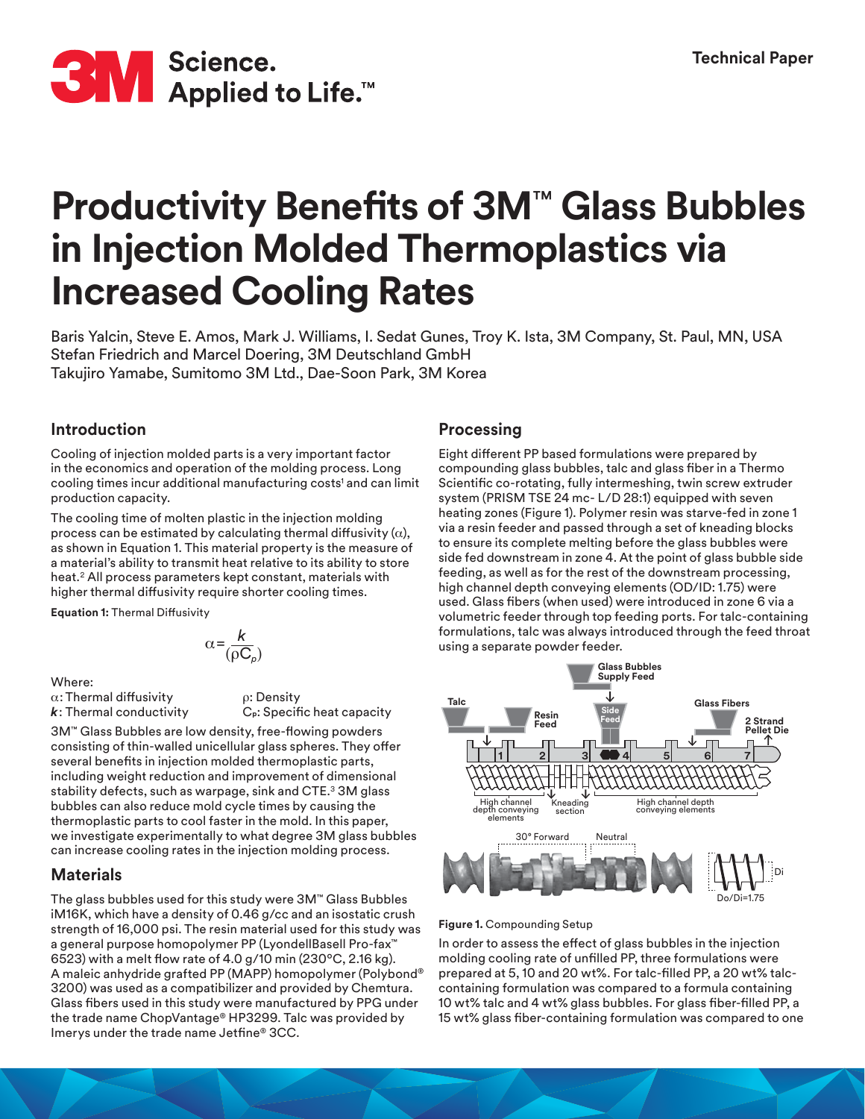

# **Productivity Benefits of 3M**™ **Glass Bubbles in Injection Molded Thermoplastics via Increased Cooling Rates**

Baris Yalcin, Steve E. Amos, Mark J. Williams, I. Sedat Gunes, Troy K. Ista, 3M Company, St. Paul, MN, USA Stefan Friedrich and Marcel Doering, 3M Deutschland GmbH Takujiro Yamabe, Sumitomo 3M Ltd., Dae-Soon Park, 3M Korea

# **Introduction**

Cooling of injection molded parts is a very important factor in the economics and operation of the molding process. Long cooling times incur additional manufacturing costs<sup>1</sup> and can limit production capacity.

The cooling time of molten plastic in the injection molding process can be estimated by calculating thermal diffusivity  $(\alpha)$ , as shown in Equation 1. This material property is the measure of a material's ability to transmit heat relative to its ability to store heat.2 All process parameters kept constant, materials with higher thermal diffusivity require shorter cooling times.

**Equation 1:** Thermal Diffusivity

$$
\alpha = \frac{k}{(\rho C_{\rho})}
$$

Where: α: Thermal diffusivity *k*: Thermal conductivity

ρ: Density C**p**: Specific heat capacity

3M™ Glass Bubbles are low density, free-flowing powders consisting of thin-walled unicellular glass spheres. They offer several benefits in injection molded thermoplastic parts, including weight reduction and improvement of dimensional stability defects, such as warpage, sink and CTE.<sup>3</sup> 3M glass bubbles can also reduce mold cycle times by causing the thermoplastic parts to cool faster in the mold. In this paper, we investigate experimentally to what degree 3M glass bubbles can increase cooling rates in the injection molding process.

# **Materials**

The glass bubbles used for this study were 3M™ Glass Bubbles iM16K, which have a density of 0.46 g/cc and an isostatic crush strength of 16,000 psi. The resin material used for this study was a general purpose homopolymer PP (LyondellBasell Pro-fax™ 6523) with a melt flow rate of 4.0 g/10 min (230ºC, 2.16 kg). A maleic anhydride grafted PP (MAPP) homopolymer (Polybond® 3200) was used as a compatibilizer and provided by Chemtura. Glass fibers used in this study were manufactured by PPG under the trade name ChopVantage® HP3299. Talc was provided by Imerys under the trade name Jetfine® 3CC.

# **Processing**

Eight different PP based formulations were prepared by compounding glass bubbles, talc and glass fiber in a Thermo Scientific co-rotating, fully intermeshing, twin screw extruder system (PRISM TSE 24 mc- L/D 28:1) equipped with seven heating zones (Figure 1). Polymer resin was starve-fed in zone 1 via a resin feeder and passed through a set of kneading blocks to ensure its complete melting before the glass bubbles were side fed downstream in zone 4. At the point of glass bubble side feeding, as well as for the rest of the downstream processing, high channel depth conveying elements (OD/ID: 1.75) were used. Glass fibers (when used) were introduced in zone 6 via a volumetric feeder through top feeding ports. For talc-containing formulations, talc was always introduced through the feed throat using a separate powder feeder.



### **Figure 1.** Compounding Setup

In order to assess the effect of glass bubbles in the injection molding cooling rate of unfilled PP, three formulations were prepared at 5, 10 and 20 wt%. For talc-filled PP, a 20 wt% talccontaining formulation was compared to a formula containing 10 wt% talc and 4 wt% glass bubbles. For glass fiber-filled PP, a 15 wt% glass fiber-containing formulation was compared to one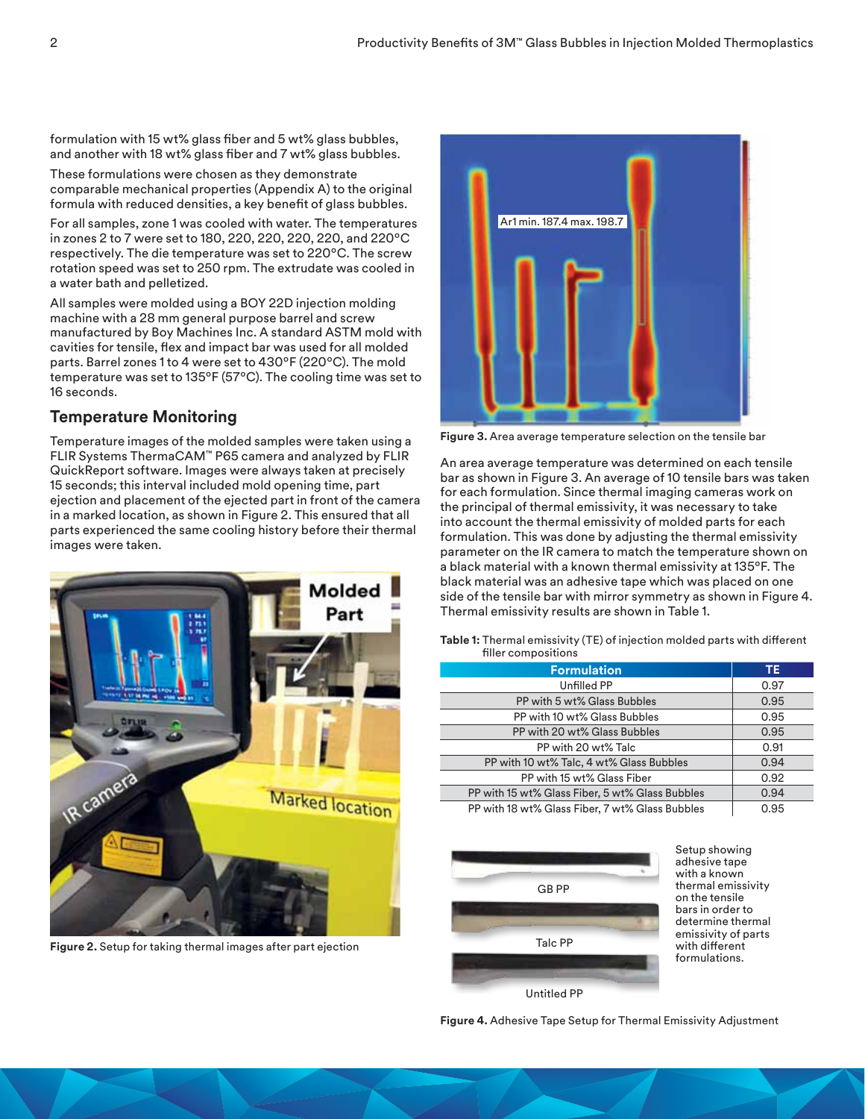formulation with 15 wt% glass fiber and 5 wt% glass bubbles, and another with 18 wt% glass fiber and 7 wt% glass bubbles.

These formulations were chosen as they demonstrate comparable mechanical properties (Appendix A) to the original formula with reduced densities, a key benefit of glass bubbles.

For all samples, zone 1 was cooled with water. The temperatures in zones 2 to 7 were set to 180, 220, 220, 220, 220, and 220ºC respectively. The die temperature was set to 220ºC. The screw rotation speed was set to 250 rpm. The extrudate was cooled in a water bath and pelletized.

All samples were molded using a BOY 22D injection molding machine with a 28 mm general purpose barrel and screw manufactured by Boy Machines Inc. A standard ASTM mold with cavities for tensile, flex and impact bar was used for all molded parts. Barrel zones 1 to 4 were set to 430ºF (220ºC). The mold temperature was set to 135ºF (57ºC). The cooling time was set to 16 seconds.

# **Temperature Monitoring**

Temperature images of the molded samples were taken using a FLIR Systems ThermaCAM™ P65 camera and analyzed by FLIR QuickReport software. Images were always taken at precisely 15 seconds; this interval included mold opening time, part ejection and placement of the ejected part in front of the camera in a marked location, as shown in Figure 2. This ensured that all parts experienced the same cooling history before their thermal images were taken.



**Figure 2.** Setup for taking thermal images after part ejection



**Figure 3.** Area average temperature selection on the tensile bar

An area average temperature was determined on each tensile bar as shown in Figure 3. An average of 10 tensile bars was taken for each formulation. Since thermal imaging cameras work on the principal of thermal emissivity, it was necessary to take into account the thermal emissivity of molded parts for each formulation. This was done by adjusting the thermal emissivity parameter on the IR camera to match the temperature shown on a black material with a known thermal emissivity at 135ºF. The black material was an adhesive tape which was placed on one side of the tensile bar with mirror symmetry as shown in Figure 4. Thermal emissivity results are shown in Table 1.

**Table 1:** Thermal emissivity (TE) of injection molded parts with different filler compositions

| <b>Formulation</b>                              | ΤE   |
|-------------------------------------------------|------|
| Unfilled PP                                     | 0.97 |
| PP with 5 wt% Glass Bubbles                     | 0.95 |
| PP with 10 wt% Glass Bubbles                    | 0.95 |
| PP with 20 wt% Glass Bubbles                    | 0.95 |
| PP with 20 wt% Talc                             | 0.91 |
| PP with 10 wt% Talc, 4 wt% Glass Bubbles        | 0.94 |
| PP with 15 wt% Glass Fiber                      | 0.92 |
| PP with 15 wt% Glass Fiber, 5 wt% Glass Bubbles | 0.94 |
| PP with 18 wt% Glass Fiber, 7 wt% Glass Bubbles | 0.95 |



Setup showing adhesive tape with a known thermal emissivity on the tensile bars in order to determine thermal emissivity of parts with different formulations.

**Figure 4.** Adhesive Tape Setup for Thermal Emissivity Adjustment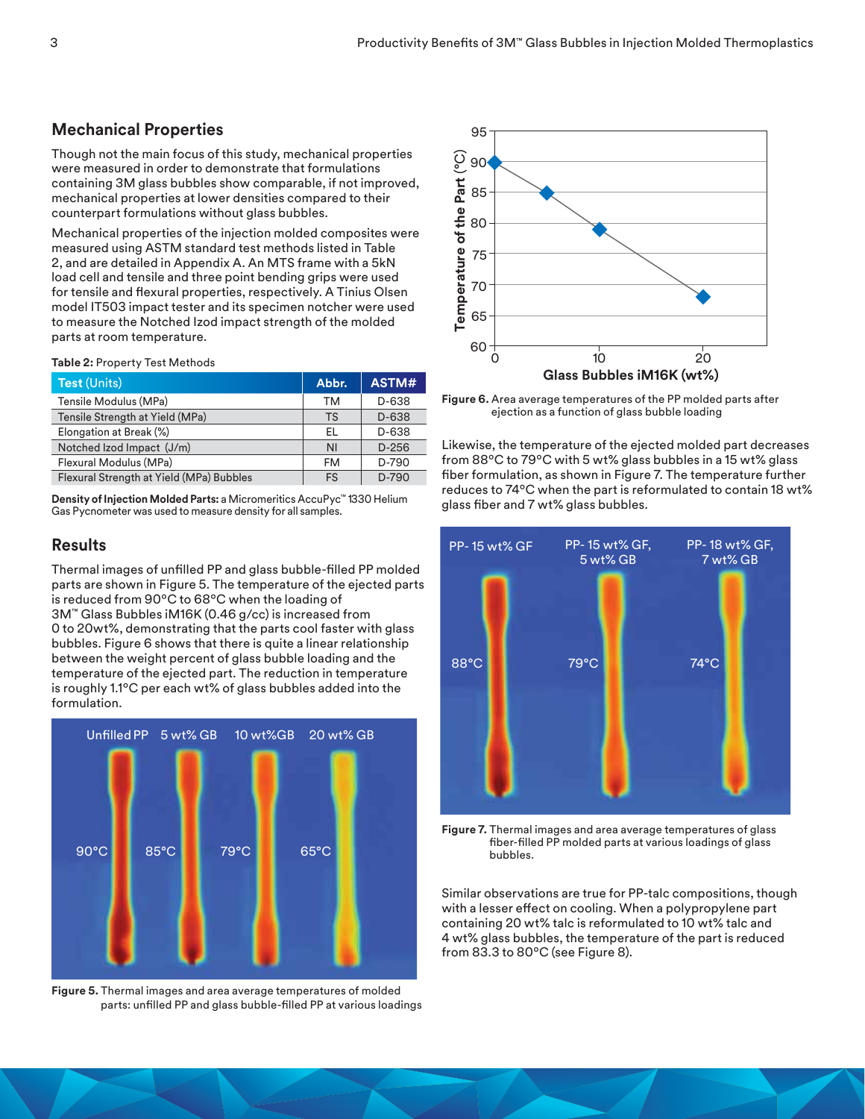## **Mechanical Properties**

Though not the main focus of this study, mechanical properties were measured in order to demonstrate that formulations containing 3M glass bubbles show comparable, if not improved, mechanical properties at lower densities compared to their counterpart formulations without glass bubbles.

Mechanical properties of the injection molded composites were measured using ASTM standard test methods listed in Table 2, and are detailed in Appendix A. An MTS frame with a 5kN load cell and tensile and three point bending grips were used for tensile and flexural properties, respectively. A Tinius Olsen model IT503 impact tester and its specimen notcher were used to measure the Notched Izod impact strength of the molded parts at room temperature.

#### **Table 2:** Property Test Methods

| <b>Test (Units)</b>                      | Abbr.     | ASTM#   |
|------------------------------------------|-----------|---------|
| Tensile Modulus (MPa)                    | ТM        | D-638   |
| Tensile Strength at Yield (MPa)          | TS        | D-638   |
| Elongation at Break (%)                  | EL        | D-638   |
| Notched Izod Impact (J/m)                | <b>NI</b> | $D-256$ |
| Flexural Modulus (MPa)                   | FM        | D-790   |
| Flexural Strength at Yield (MPa) Bubbles | FS        | $D-790$ |

**Density of Injection Molded Parts:** a Micromeritics AccuPyc™ 1330 Helium Gas Pycnometer was used to measure density for all samples.

## **Results**

Thermal images of unfilled PP and glass bubble-filled PP molded parts are shown in Figure 5. The temperature of the ejected parts is reduced from 90ºC to 68ºC when the loading of 3M™ Glass Bubbles iM16K (0.46 g/cc) is increased from 0 to 20wt%, demonstrating that the parts cool faster with glass bubbles. Figure 6 shows that there is quite a linear relationship between the weight percent of glass bubble loading and the temperature of the ejected part. The reduction in temperature is roughly 1.1ºC per each wt% of glass bubbles added into the formulation.



**Figure 5.** Thermal images and area average temperatures of molded parts: unfilled PP and glass bubble-filled PP at various loadings



**Figure 6.** Area average temperatures of the PP molded parts after ejection as a function of glass bubble loading

Likewise, the temperature of the ejected molded part decreases from 88ºC to 79ºC with 5 wt% glass bubbles in a 15 wt% glass fiber formulation, as shown in Figure 7. The temperature further reduces to 74ºC when the part is reformulated to contain 18 wt% glass fiber and 7 wt% glass bubbles.



**Figure 7.** Thermal images and area average temperatures of glass fiber-filled PP molded parts at various loadings of glass bubbles.

Similar observations are true for PP-talc compositions, though with a lesser effect on cooling. When a polypropylene part containing 20 wt% talc is reformulated to 10 wt% talc and 4 wt% glass bubbles, the temperature of the part is reduced from 83.3 to 80ºC (see Figure 8).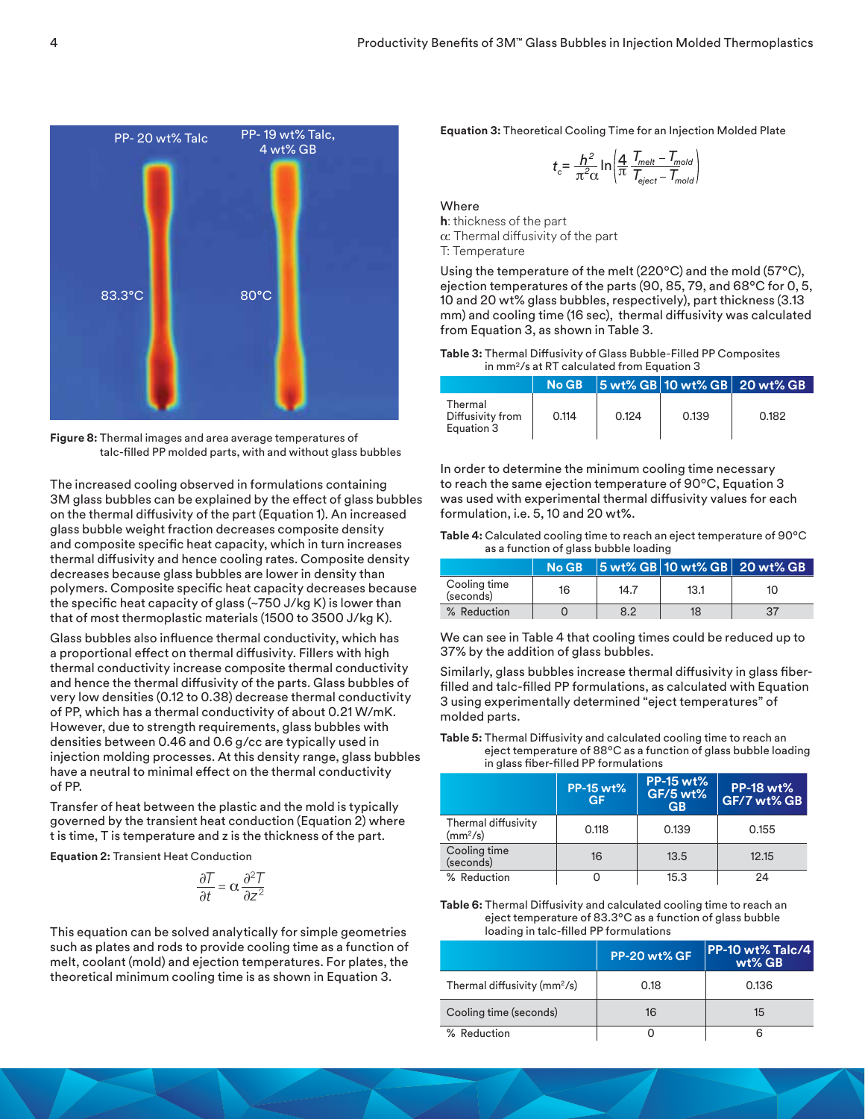

**Figure 8:** Thermal images and area average temperatures of talc-filled PP molded parts, with and without glass bubbles

The increased cooling observed in formulations containing 3M glass bubbles can be explained by the effect of glass bubbles on the thermal diffusivity of the part (Equation 1). An increased glass bubble weight fraction decreases composite density and composite specific heat capacity, which in turn increases thermal diffusivity and hence cooling rates. Composite density decreases because glass bubbles are lower in density than polymers. Composite specific heat capacity decreases because the specific heat capacity of glass (~750 J/kg K) is lower than that of most thermoplastic materials (1500 to 3500 J/kg K).

Glass bubbles also influence thermal conductivity, which has a proportional effect on thermal diffusivity. Fillers with high thermal conductivity increase composite thermal conductivity and hence the thermal diffusivity of the parts. Glass bubbles of very low densities (0.12 to 0.38) decrease thermal conductivity of PP, which has a thermal conductivity of about 0.21 W/mK. However, due to strength requirements, glass bubbles with densities between 0.46 and 0.6 g/cc are typically used in injection molding processes. At this density range, glass bubbles have a neutral to minimal effect on the thermal conductivity of PP.

Transfer of heat between the plastic and the mold is typically governed by the transient heat conduction (Equation 2) where t is time, T is temperature and z is the thickness of the part.

**Equation 2:** Transient Heat Conduction

$$
\frac{\partial T}{\partial t} = \alpha \frac{\partial^2 T}{\partial z^2}
$$

This equation can be solved analytically for simple geometries such as plates and rods to provide cooling time as a function of melt, coolant (mold) and ejection temperatures. For plates, the theoretical minimum cooling time is as shown in Equation 3.

**Equation 3:** Theoretical Cooling Time for an Injection Molded Plate

$$
t_c = \frac{h^2}{\pi^2 \alpha} \ln \left| \frac{4}{\pi} \frac{T_{melt} - T_{mold}}{T_{eject} - T_{mold}} \right|
$$

**Where** 

**h**: thickness of the part α: Thermal diffusivity of the part T: Temperature

Using the temperature of the melt (220ºC) and the mold (57ºC), ejection temperatures of the parts (90, 85, 79, and 68ºC for 0, 5, 10 and 20 wt% glass bubbles, respectively), part thickness (3.13 mm) and cooling time (16 sec), thermal diffusivity was calculated from Equation 3, as shown in Table 3.

| Table 3: Thermal Diffusivity of Glass Bubble-Filled PP Composites |
|-------------------------------------------------------------------|
| in mm <sup>2</sup> /s at RT calculated from Equation 3            |

|                                           | No GB |       |       | 5 wt% GB 10 wt% GB 20 wt% GB |
|-------------------------------------------|-------|-------|-------|------------------------------|
| Thermal<br>Diffusivity from<br>Equation 3 | 0.114 | 0.124 | 0.139 | 0.182                        |

In order to determine the minimum cooling time necessary to reach the same ejection temperature of 90ºC, Equation 3 was used with experimental thermal diffusivity values for each formulation, i.e. 5, 10 and 20 wt%.

| <b>Table 4:</b> Calculated cooling time to reach an eject temperature of $90^{\circ}$ C |
|-----------------------------------------------------------------------------------------|
| as a function of glass bubble loading                                                   |

|                           | <b>No GB</b> |      |      | 5 wt% GB 10 wt% GB 20 wt% GB |
|---------------------------|--------------|------|------|------------------------------|
| Cooling time<br>(seconds) | 16           | 14.7 | 13.1 | 10                           |
| % Reduction               |              | 8.2  | 18   | 37                           |

We can see in Table 4 that cooling times could be reduced up to 37% by the addition of glass bubbles.

Similarly, glass bubbles increase thermal diffusivity in glass fiberfilled and talc-filled PP formulations, as calculated with Equation 3 using experimentally determined "eject temperatures" of molded parts.

**Table 5:** Thermal Diffusivity and calculated cooling time to reach an eject temperature of 88ºC as a function of glass bubble loading in glass fiber-filled PP formulations

|                                             | <b>PP-15 wt%</b><br><b>GF</b> | <b>PP-15 wt%</b><br><b>GF/5 wt%</b><br>GB | <b>PP-18 wt%</b><br>GF/7 wt% GB |
|---------------------------------------------|-------------------------------|-------------------------------------------|---------------------------------|
| Thermal diffusivity<br>(mm <sup>2</sup> /s) | 0.118                         | 0.139                                     | 0.155                           |
| Cooling time<br>(seconds)                   | 16                            | 13.5                                      | 12.15                           |
| % Reduction                                 |                               | 15.3                                      | 24                              |

**Table 6:** Thermal Diffusivity and calculated cooling time to reach an eject temperature of 83.3ºC as a function of glass bubble loading in talc-filled PP formulations

|                                          | <b>PP-20 wt% GF</b> | <b>PP-10 wt% Talc/4</b><br>$wt\%$ GB |
|------------------------------------------|---------------------|--------------------------------------|
| Thermal diffusivity (mm <sup>2</sup> /s) | 0.18                | 0.136                                |
| Cooling time (seconds)                   | 16                  | 15                                   |
| % Reduction                              |                     |                                      |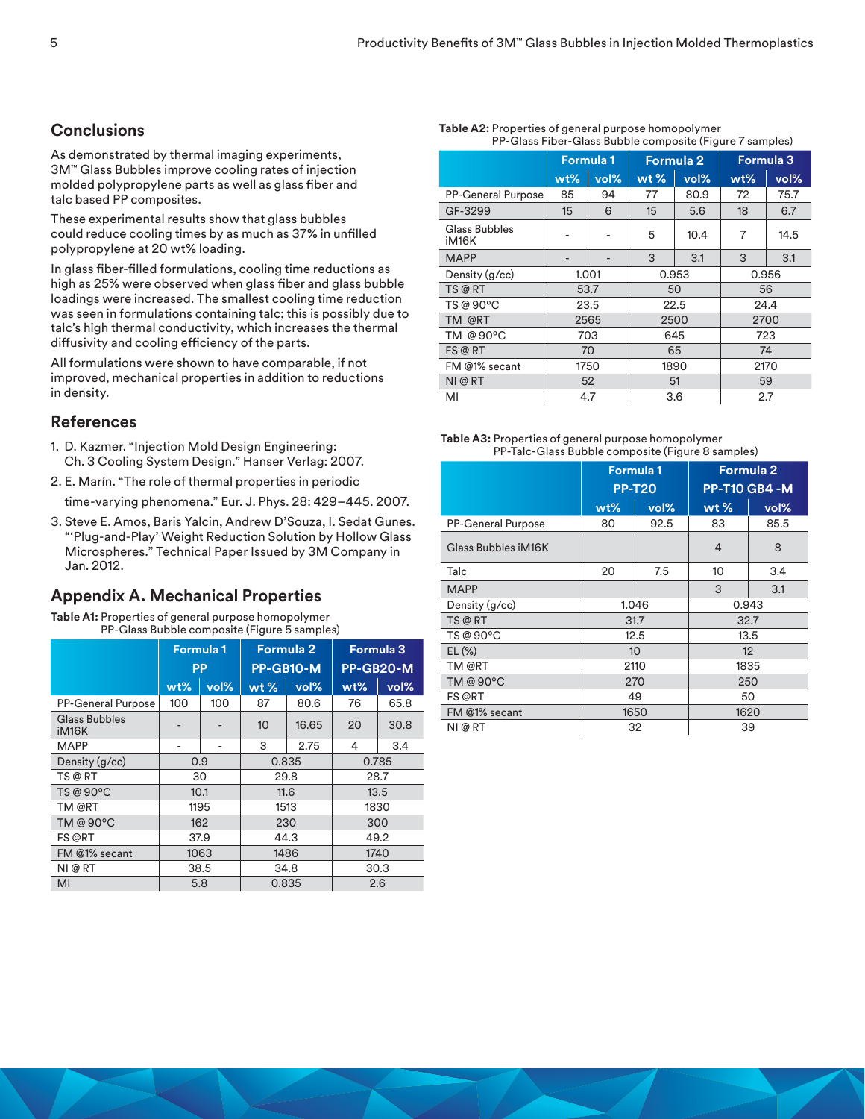# **Conclusions**

As demonstrated by thermal imaging experiments, 3M™ Glass Bubbles improve cooling rates of injection molded polypropylene parts as well as glass fiber and talc based PP composites.

These experimental results show that glass bubbles could reduce cooling times by as much as 37% in unfilled polypropylene at 20 wt% loading.

In glass fiber-filled formulations, cooling time reductions as high as 25% were observed when glass fiber and glass bubble loadings were increased. The smallest cooling time reduction was seen in formulations containing talc; this is possibly due to talc's high thermal conductivity, which increases the thermal diffusivity and cooling efficiency of the parts.

All formulations were shown to have comparable, if not improved, mechanical properties in addition to reductions in density.

## **References**

- 1. D. Kazmer. "Injection Mold Design Engineering: Ch. 3 Cooling System Design." Hanser Verlag: 2007.
- 2. E. Marín. "The role of thermal properties in periodic

time-varying phenomena." Eur. J. Phys. 28: 429–445. 2007.

3. Steve E. Amos, Baris Yalcin, Andrew D'Souza, I. Sedat Gunes. "'Plug-and-Play' Weight Reduction Solution by Hollow Glass Microspheres." Technical Paper Issued by 3M Company in Jan. 2012.

# **Appendix A. Mechanical Properties**

**Table A1:** Properties of general purpose homopolymer PP-Glass Bubble composite (Figure 5 samples)

|                                            | <b>Formula 1</b><br><b>Formula 2</b> |      | <b>Formula 3</b> |       |           |      |
|--------------------------------------------|--------------------------------------|------|------------------|-------|-----------|------|
|                                            | <b>PP</b>                            |      | PP-GB10-M        |       | PP-GB20-M |      |
|                                            | $wt\%$                               | vol% | $wt$ %           | vol%  | $wt\%$    | vol% |
| <b>PP-General Purpose</b>                  | 100                                  | 100  | 87               | 80.6  | 76        | 65.8 |
| <b>Glass Bubbles</b><br>iM <sub>16</sub> K |                                      |      | 10               | 16.65 | 20        | 30.8 |
| <b>MAPP</b>                                |                                      |      | 3                | 2.75  | 4         | 3.4  |
| Density (g/cc)                             | 0.9                                  |      | 0.835            |       | 0.785     |      |
| TS @ RT                                    | 30                                   |      | 29.8             |       |           | 28.7 |
| TS @ 90°C                                  | 10.1                                 |      | 11.6             |       |           | 13.5 |
| TM @RT                                     |                                      | 1195 | 1513             |       | 1830      |      |
| TM @ 90°C                                  |                                      | 162  | 230              |       | 300       |      |
| FS @RT                                     | 37.9                                 |      | 44.3             |       | 49.2      |      |
| FM @1% secant                              | 1063                                 |      | 1486             |       | 1740      |      |
| NI @ RT                                    | 38.5                                 |      | 34.8             |       | 30.3      |      |
| MI                                         | 5.8                                  |      | 0.835            |       | 2.6       |      |

| PP-Glass Fiber-Glass Bubble composite (Figure 7 samples) |                                      |      |        |      |                  |      |
|----------------------------------------------------------|--------------------------------------|------|--------|------|------------------|------|
|                                                          | <b>Formula 2</b><br><b>Formula 1</b> |      |        |      | <b>Formula 3</b> |      |
|                                                          | $wt\%$                               | vol% | $wt$ % | vol% | wt%              | vol% |
| <b>PP-General Purpose</b>                                | 85                                   | 94   | 77     | 80.9 | 72               | 75.7 |
| GF-3299                                                  | 15                                   | 6    | $15\,$ | 5.6  | 18               | 6.7  |
| Glass Bubbles<br>iM <sub>16</sub> K                      |                                      |      | 5      | 10.4 | 7                | 14.5 |
| <b>MAPP</b>                                              | -                                    |      | 3      | 3.1  | 3                | 3.1  |
| Density (g/cc)                                           | 1.001                                |      | 0.953  |      | 0.956            |      |
| TS @ RT                                                  | 53.7                                 |      |        | 50   |                  | 56   |
| TS @ 90°C                                                | 23.5                                 |      | 22.5   |      |                  | 24.4 |
| TM @RT                                                   | 2565                                 |      | 2500   |      | 2700             |      |
| TM @ 90°C                                                | 703                                  |      | 645    |      | 723              |      |
| FS @ RT                                                  | 70                                   |      | 65     |      | 74               |      |
| FM @1% secant                                            | 1750                                 |      | 1890   |      | 2170             |      |
| NI@RT                                                    |                                      | 52   | 51     |      | 59               |      |
| MI                                                       | 4.7                                  |      | 3.6    |      | 2.7              |      |

#### **Table A3:** Properties of general purpose homopolymer PP-Talc-Glass Bubble composite (Figure 8 samples)

|                           |                  | <b>Formula 1</b> | Formula 2      |                      |  |  |
|---------------------------|------------------|------------------|----------------|----------------------|--|--|
|                           | <b>PP-T20</b>    |                  |                | <b>PP-T10 GB4 -M</b> |  |  |
|                           | wt%              | vol%             | wt $%$         | vol%                 |  |  |
| <b>PP-General Purpose</b> | 80               | 92.5             | 83             | 85.5                 |  |  |
| Glass Bubbles iM16K       |                  |                  | $\overline{4}$ | 8                    |  |  |
| Talc                      | 20               | 7.5              | 10             | 3.4                  |  |  |
| <b>MAPP</b>               |                  |                  | 3              | 3.1                  |  |  |
| Density (g/cc)            | 1.046            |                  | 0.943          |                      |  |  |
| TS @ RT                   | 31.7             |                  | 32.7           |                      |  |  |
| TS @ 90°C                 | 12.5             |                  |                | 13.5                 |  |  |
| $EL(\%)$                  | 10 <sup>10</sup> |                  | 12             |                      |  |  |
| TM @RT                    | 2110             |                  | 1835           |                      |  |  |
| TM @ 90°C                 |                  | 270              | 250            |                      |  |  |
| FS @RT                    | 49               |                  |                | 50                   |  |  |
| FM @1% secant             |                  | 1650             |                | 1620                 |  |  |
| NI @ RT                   | 32<br>39         |                  |                |                      |  |  |

# **Table A2:** Properties of general purpose homopolymer